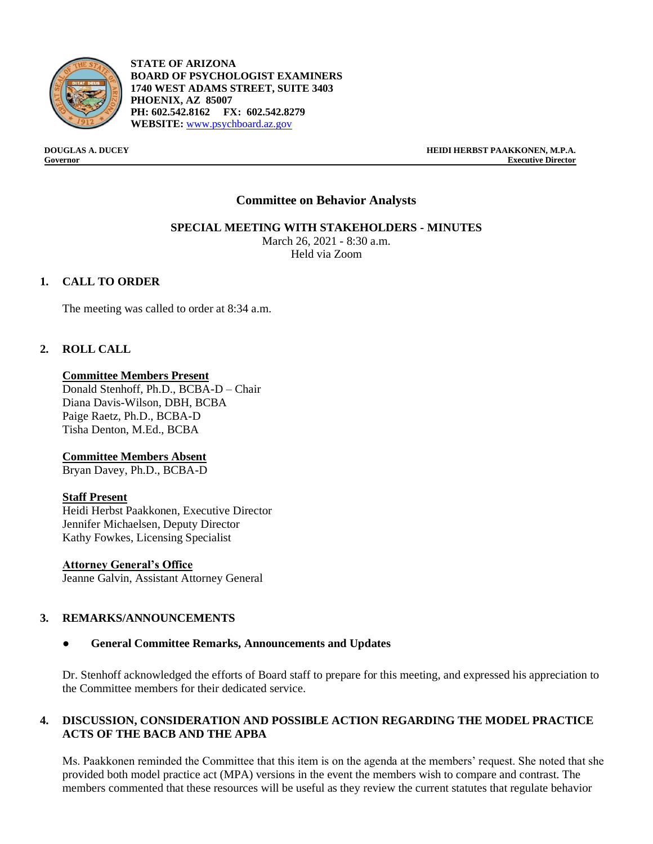

**STATE OF ARIZONA BOARD OF PSYCHOLOGIST EXAMINERS 1740 WEST ADAMS STREET, SUITE 3403 PHOENIX, AZ 85007 PH: 602.542.8162 FX: 602.542.8279 WEBSITE:** [www.psychboard.az.gov](http://www.psychboard.az.gov/) 

**DOUGLAS A. DUCEY HEIDI HERBST PAAKKONEN, M.P.A. Governor Executive Director**

### **Committee on Behavior Analysts**

**SPECIAL MEETING WITH STAKEHOLDERS - MINUTES**

March 26, 2021 - 8:30 a.m. Held via Zoom

#### **1. CALL TO ORDER**

The meeting was called to order at 8:34 a.m.

### **2. ROLL CALL**

#### **Committee Members Present**

Donald Stenhoff, Ph.D., BCBA-D – Chair Diana Davis-Wilson, DBH, BCBA Paige Raetz, Ph.D., BCBA-D Tisha Denton, M.Ed., BCBA

#### **Committee Members Absent**

Bryan Davey, Ph.D., BCBA-D

#### **Staff Present**

Heidi Herbst Paakkonen, Executive Director Jennifer Michaelsen, Deputy Director Kathy Fowkes, Licensing Specialist

#### **Attorney General's Office**

Jeanne Galvin, Assistant Attorney General

#### **3. REMARKS/ANNOUNCEMENTS**

#### ● **General Committee Remarks, Announcements and Updates**

Dr. Stenhoff acknowledged the efforts of Board staff to prepare for this meeting, and expressed his appreciation to the Committee members for their dedicated service.

#### **4. DISCUSSION, CONSIDERATION AND POSSIBLE ACTION REGARDING THE MODEL PRACTICE ACTS OF THE BACB AND THE APBA**

Ms. Paakkonen reminded the Committee that this item is on the agenda at the members' request. She noted that she provided both model practice act (MPA) versions in the event the members wish to compare and contrast. The members commented that these resources will be useful as they review the current statutes that regulate behavior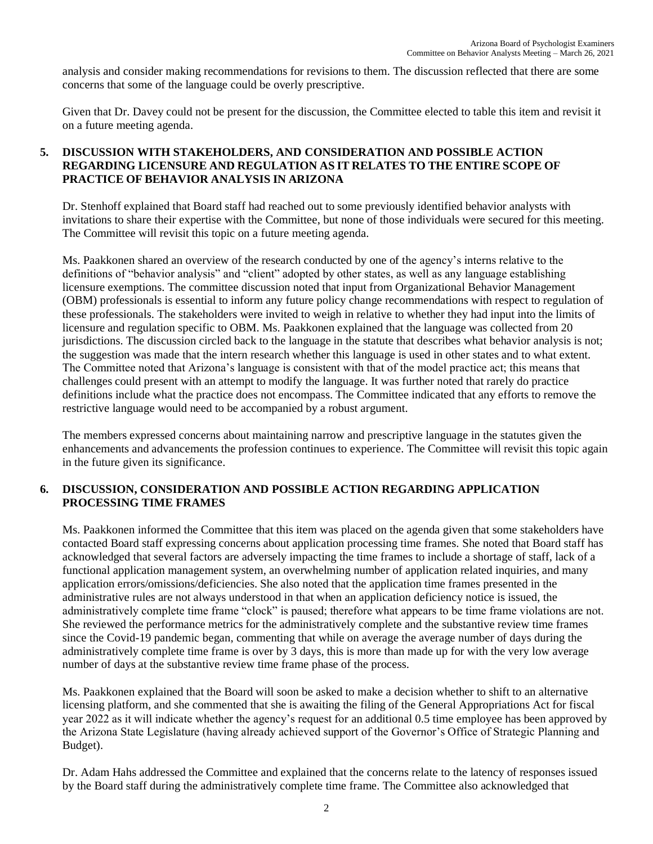analysis and consider making recommendations for revisions to them. The discussion reflected that there are some concerns that some of the language could be overly prescriptive.

Given that Dr. Davey could not be present for the discussion, the Committee elected to table this item and revisit it on a future meeting agenda.

# **5. DISCUSSION WITH STAKEHOLDERS, AND CONSIDERATION AND POSSIBLE ACTION REGARDING LICENSURE AND REGULATION AS IT RELATES TO THE ENTIRE SCOPE OF PRACTICE OF BEHAVIOR ANALYSIS IN ARIZONA**

Dr. Stenhoff explained that Board staff had reached out to some previously identified behavior analysts with invitations to share their expertise with the Committee, but none of those individuals were secured for this meeting. The Committee will revisit this topic on a future meeting agenda.

Ms. Paakkonen shared an overview of the research conducted by one of the agency's interns relative to the definitions of "behavior analysis" and "client" adopted by other states, as well as any language establishing licensure exemptions. The committee discussion noted that input from Organizational Behavior Management (OBM) professionals is essential to inform any future policy change recommendations with respect to regulation of these professionals. The stakeholders were invited to weigh in relative to whether they had input into the limits of licensure and regulation specific to OBM. Ms. Paakkonen explained that the language was collected from 20 jurisdictions. The discussion circled back to the language in the statute that describes what behavior analysis is not; the suggestion was made that the intern research whether this language is used in other states and to what extent. The Committee noted that Arizona's language is consistent with that of the model practice act; this means that challenges could present with an attempt to modify the language. It was further noted that rarely do practice definitions include what the practice does not encompass. The Committee indicated that any efforts to remove the restrictive language would need to be accompanied by a robust argument.

The members expressed concerns about maintaining narrow and prescriptive language in the statutes given the enhancements and advancements the profession continues to experience. The Committee will revisit this topic again in the future given its significance.

# **6. DISCUSSION, CONSIDERATION AND POSSIBLE ACTION REGARDING APPLICATION PROCESSING TIME FRAMES**

Ms. Paakkonen informed the Committee that this item was placed on the agenda given that some stakeholders have contacted Board staff expressing concerns about application processing time frames. She noted that Board staff has acknowledged that several factors are adversely impacting the time frames to include a shortage of staff, lack of a functional application management system, an overwhelming number of application related inquiries, and many application errors/omissions/deficiencies. She also noted that the application time frames presented in the administrative rules are not always understood in that when an application deficiency notice is issued, the administratively complete time frame "clock" is paused; therefore what appears to be time frame violations are not. She reviewed the performance metrics for the administratively complete and the substantive review time frames since the Covid-19 pandemic began, commenting that while on average the average number of days during the administratively complete time frame is over by 3 days, this is more than made up for with the very low average number of days at the substantive review time frame phase of the process.

Ms. Paakkonen explained that the Board will soon be asked to make a decision whether to shift to an alternative licensing platform, and she commented that she is awaiting the filing of the General Appropriations Act for fiscal year 2022 as it will indicate whether the agency's request for an additional 0.5 time employee has been approved by the Arizona State Legislature (having already achieved support of the Governor's Office of Strategic Planning and Budget).

Dr. Adam Hahs addressed the Committee and explained that the concerns relate to the latency of responses issued by the Board staff during the administratively complete time frame. The Committee also acknowledged that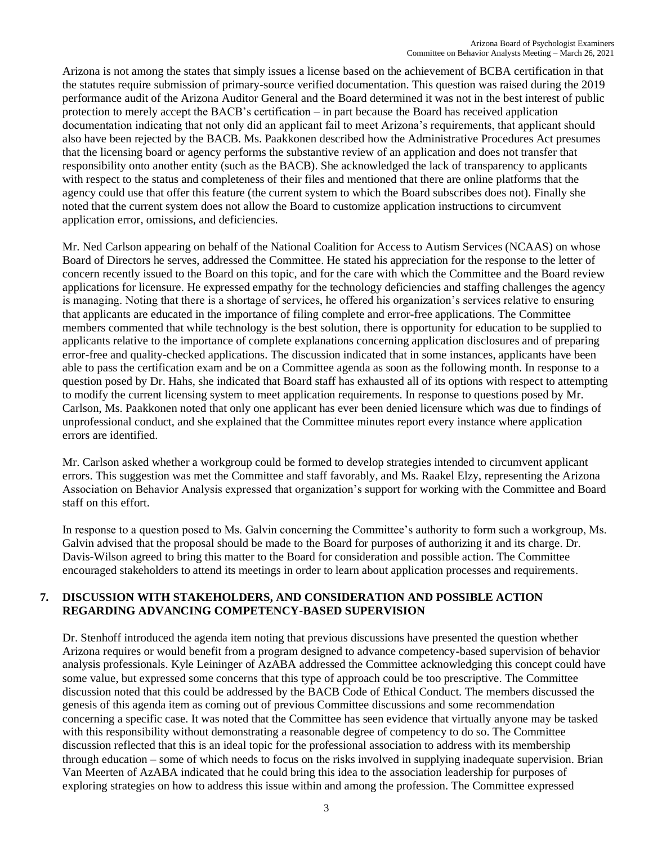Arizona is not among the states that simply issues a license based on the achievement of BCBA certification in that the statutes require submission of primary-source verified documentation. This question was raised during the 2019 performance audit of the Arizona Auditor General and the Board determined it was not in the best interest of public protection to merely accept the BACB's certification – in part because the Board has received application documentation indicating that not only did an applicant fail to meet Arizona's requirements, that applicant should also have been rejected by the BACB. Ms. Paakkonen described how the Administrative Procedures Act presumes that the licensing board or agency performs the substantive review of an application and does not transfer that responsibility onto another entity (such as the BACB). She acknowledged the lack of transparency to applicants with respect to the status and completeness of their files and mentioned that there are online platforms that the agency could use that offer this feature (the current system to which the Board subscribes does not). Finally she noted that the current system does not allow the Board to customize application instructions to circumvent application error, omissions, and deficiencies.

Mr. Ned Carlson appearing on behalf of the National Coalition for Access to Autism Services (NCAAS) on whose Board of Directors he serves, addressed the Committee. He stated his appreciation for the response to the letter of concern recently issued to the Board on this topic, and for the care with which the Committee and the Board review applications for licensure. He expressed empathy for the technology deficiencies and staffing challenges the agency is managing. Noting that there is a shortage of services, he offered his organization's services relative to ensuring that applicants are educated in the importance of filing complete and error-free applications. The Committee members commented that while technology is the best solution, there is opportunity for education to be supplied to applicants relative to the importance of complete explanations concerning application disclosures and of preparing error-free and quality-checked applications. The discussion indicated that in some instances, applicants have been able to pass the certification exam and be on a Committee agenda as soon as the following month. In response to a question posed by Dr. Hahs, she indicated that Board staff has exhausted all of its options with respect to attempting to modify the current licensing system to meet application requirements. In response to questions posed by Mr. Carlson, Ms. Paakkonen noted that only one applicant has ever been denied licensure which was due to findings of unprofessional conduct, and she explained that the Committee minutes report every instance where application errors are identified.

Mr. Carlson asked whether a workgroup could be formed to develop strategies intended to circumvent applicant errors. This suggestion was met the Committee and staff favorably, and Ms. Raakel Elzy, representing the Arizona Association on Behavior Analysis expressed that organization's support for working with the Committee and Board staff on this effort.

In response to a question posed to Ms. Galvin concerning the Committee's authority to form such a workgroup, Ms. Galvin advised that the proposal should be made to the Board for purposes of authorizing it and its charge. Dr. Davis-Wilson agreed to bring this matter to the Board for consideration and possible action. The Committee encouraged stakeholders to attend its meetings in order to learn about application processes and requirements.

### **7. DISCUSSION WITH STAKEHOLDERS, AND CONSIDERATION AND POSSIBLE ACTION REGARDING ADVANCING COMPETENCY-BASED SUPERVISION**

Dr. Stenhoff introduced the agenda item noting that previous discussions have presented the question whether Arizona requires or would benefit from a program designed to advance competency-based supervision of behavior analysis professionals. Kyle Leininger of AzABA addressed the Committee acknowledging this concept could have some value, but expressed some concerns that this type of approach could be too prescriptive. The Committee discussion noted that this could be addressed by the BACB Code of Ethical Conduct. The members discussed the genesis of this agenda item as coming out of previous Committee discussions and some recommendation concerning a specific case. It was noted that the Committee has seen evidence that virtually anyone may be tasked with this responsibility without demonstrating a reasonable degree of competency to do so. The Committee discussion reflected that this is an ideal topic for the professional association to address with its membership through education – some of which needs to focus on the risks involved in supplying inadequate supervision. Brian Van Meerten of AzABA indicated that he could bring this idea to the association leadership for purposes of exploring strategies on how to address this issue within and among the profession. The Committee expressed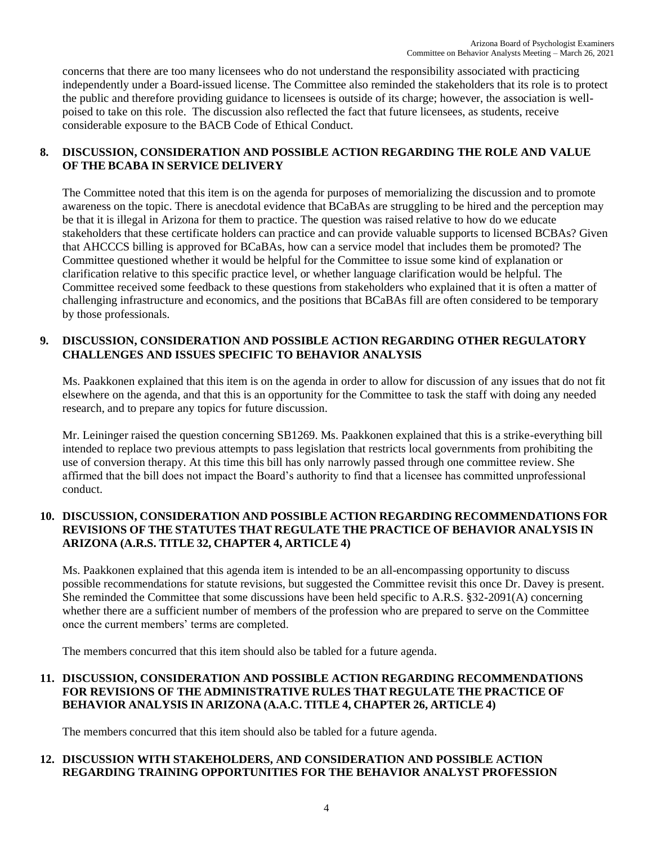concerns that there are too many licensees who do not understand the responsibility associated with practicing independently under a Board-issued license. The Committee also reminded the stakeholders that its role is to protect the public and therefore providing guidance to licensees is outside of its charge; however, the association is wellpoised to take on this role. The discussion also reflected the fact that future licensees, as students, receive considerable exposure to the BACB Code of Ethical Conduct.

# **8. DISCUSSION, CONSIDERATION AND POSSIBLE ACTION REGARDING THE ROLE AND VALUE OF THE BCABA IN SERVICE DELIVERY**

The Committee noted that this item is on the agenda for purposes of memorializing the discussion and to promote awareness on the topic. There is anecdotal evidence that BCaBAs are struggling to be hired and the perception may be that it is illegal in Arizona for them to practice. The question was raised relative to how do we educate stakeholders that these certificate holders can practice and can provide valuable supports to licensed BCBAs? Given that AHCCCS billing is approved for BCaBAs, how can a service model that includes them be promoted? The Committee questioned whether it would be helpful for the Committee to issue some kind of explanation or clarification relative to this specific practice level, or whether language clarification would be helpful. The Committee received some feedback to these questions from stakeholders who explained that it is often a matter of challenging infrastructure and economics, and the positions that BCaBAs fill are often considered to be temporary by those professionals.

# **9. DISCUSSION, CONSIDERATION AND POSSIBLE ACTION REGARDING OTHER REGULATORY CHALLENGES AND ISSUES SPECIFIC TO BEHAVIOR ANALYSIS**

Ms. Paakkonen explained that this item is on the agenda in order to allow for discussion of any issues that do not fit elsewhere on the agenda, and that this is an opportunity for the Committee to task the staff with doing any needed research, and to prepare any topics for future discussion.

Mr. Leininger raised the question concerning SB1269. Ms. Paakkonen explained that this is a strike-everything bill intended to replace two previous attempts to pass legislation that restricts local governments from prohibiting the use of conversion therapy. At this time this bill has only narrowly passed through one committee review. She affirmed that the bill does not impact the Board's authority to find that a licensee has committed unprofessional conduct.

### **10. DISCUSSION, CONSIDERATION AND POSSIBLE ACTION REGARDING RECOMMENDATIONS FOR REVISIONS OF THE STATUTES THAT REGULATE THE PRACTICE OF BEHAVIOR ANALYSIS IN ARIZONA (A.R.S. TITLE 32, CHAPTER 4, ARTICLE 4)**

Ms. Paakkonen explained that this agenda item is intended to be an all-encompassing opportunity to discuss possible recommendations for statute revisions, but suggested the Committee revisit this once Dr. Davey is present. She reminded the Committee that some discussions have been held specific to A.R.S. §32-2091(A) concerning whether there are a sufficient number of members of the profession who are prepared to serve on the Committee once the current members' terms are completed.

The members concurred that this item should also be tabled for a future agenda.

# **11. DISCUSSION, CONSIDERATION AND POSSIBLE ACTION REGARDING RECOMMENDATIONS FOR REVISIONS OF THE ADMINISTRATIVE RULES THAT REGULATE THE PRACTICE OF BEHAVIOR ANALYSIS IN ARIZONA (A.A.C. TITLE 4, CHAPTER 26, ARTICLE 4)**

The members concurred that this item should also be tabled for a future agenda.

# **12. DISCUSSION WITH STAKEHOLDERS, AND CONSIDERATION AND POSSIBLE ACTION REGARDING TRAINING OPPORTUNITIES FOR THE BEHAVIOR ANALYST PROFESSION**